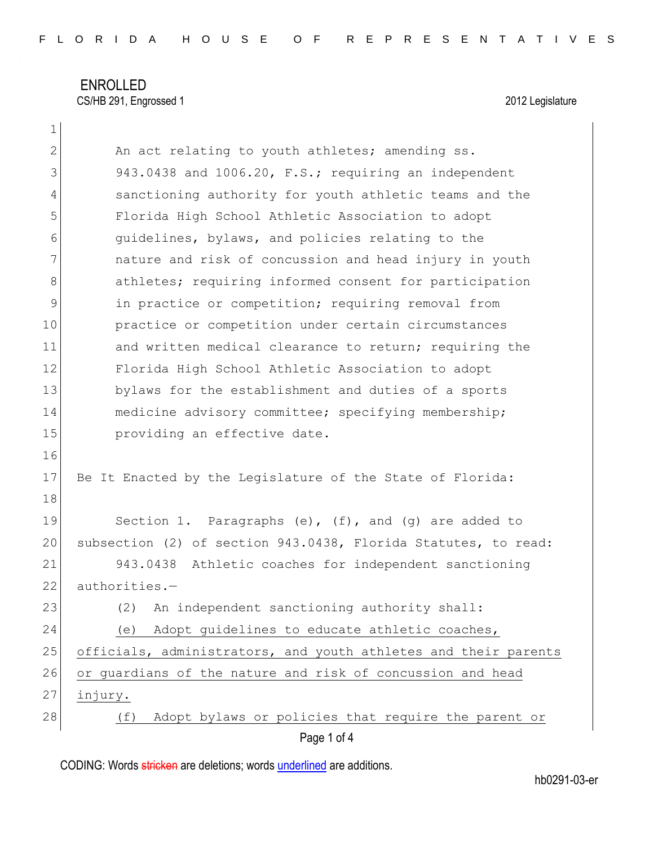ENROLLED CS/HB 291, Engrossed 1 2012 Legislature

1

| $\mathbf{2}$ | An act relating to youth athletes; amending ss.                 |
|--------------|-----------------------------------------------------------------|
| 3            | 943.0438 and 1006.20, F.S.; requiring an independent            |
| 4            | sanctioning authority for youth athletic teams and the          |
| 5            | Florida High School Athletic Association to adopt               |
| 6            | quidelines, bylaws, and policies relating to the                |
| 7            | nature and risk of concussion and head injury in youth          |
| 8            | athletes; requiring informed consent for participation          |
| 9            | in practice or competition; requiring removal from              |
| 10           | practice or competition under certain circumstances             |
| 11           | and written medical clearance to return; requiring the          |
| 12           | Florida High School Athletic Association to adopt               |
| 13           | bylaws for the establishment and duties of a sports             |
| 14           | medicine advisory committee; specifying membership;             |
| 15           | providing an effective date.                                    |
| 16           |                                                                 |
| 17           | Be It Enacted by the Legislature of the State of Florida:       |
| 18           |                                                                 |
| 19           | Section 1. Paragraphs $(e)$ , $(f)$ , and $(g)$ are added to    |
| 20           | subsection (2) of section 943.0438, Florida Statutes, to read:  |
| 21           | 943.0438 Athletic coaches for independent sanctioning           |
| 22           | authorities.-                                                   |
| 23           | An independent sanctioning authority shall:<br>(2)              |
| 24           | Adopt guidelines to educate athletic coaches,<br>(e)            |
| 25           | officials, administrators, and youth athletes and their parents |
| 26           | or guardians of the nature and risk of concussion and head      |
| 27           | injury.                                                         |
| 28           | Adopt bylaws or policies that require the parent or<br>(f)      |
|              | Page 1 of 4                                                     |

CODING: Words stricken are deletions; words underlined are additions.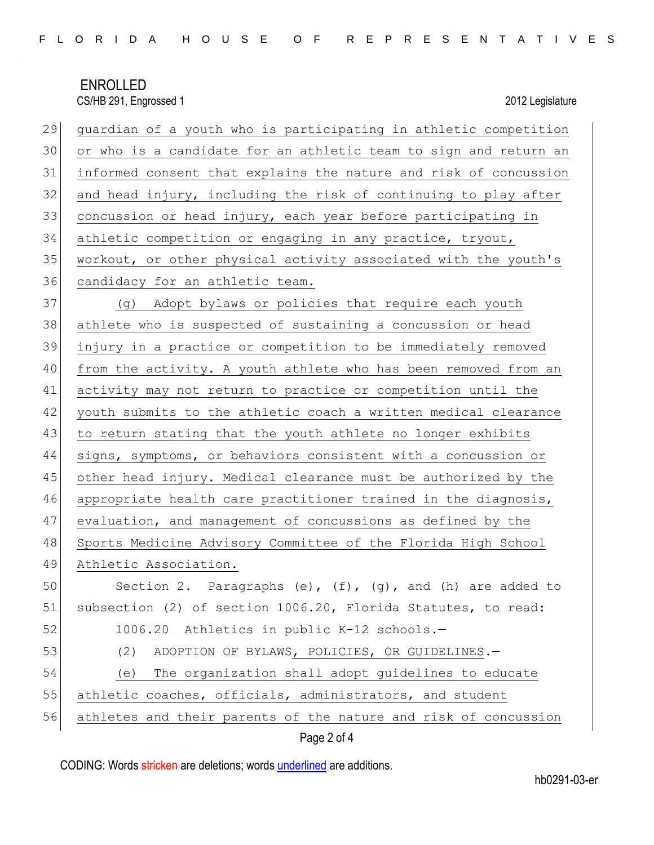## ENROLLED CS/HB 291, Engrossed 1 2012 Legislature

| 29<br>quardian of a youth who is participating in athletic competition |
|------------------------------------------------------------------------|
| 30<br>or who is a candidate for an athletic team to sign and return an |
| informed consent that explains the nature and risk of concussion       |
| 32<br>and head injury, including the risk of continuing to play after  |
| 33<br>concussion or head injury, each year before participating in     |
| 34<br>athletic competition or engaging in any practice, tryout,        |
| 35<br>workout, or other physical activity associated with the youth's  |
| 36<br>candidacy for an athletic team.                                  |
| 37<br>(g) Adopt bylaws or policies that require each youth             |
| athlete who is suspected of sustaining a concussion or head            |
| 39<br>injury in a practice or competition to be immediately removed    |
| from the activity. A youth athlete who has been removed from an        |
| activity may not return to practice or competition until the           |
| youth submits to the athletic coach a written medical clearance        |
| 43<br>to return stating that the youth athlete no longer exhibits      |
| 44<br>signs, symptoms, or behaviors consistent with a concussion or    |
| 45<br>other head injury. Medical clearance must be authorized by the   |
| 46<br>appropriate health care practitioner trained in the diagnosis,   |
| 47<br>evaluation, and management of concussions as defined by the      |
| 48<br>Sports Medicine Advisory Committee of the Florida High School    |
| 49<br>Athletic Association.                                            |
| 50<br>Section 2. Paragraphs (e), (f), (g), and (h) are added to        |
| subsection (2) of section 1006.20, Florida Statutes, to read:          |
| 1006.20 Athletics in public K-12 schools.-                             |
| (2)<br>ADOPTION OF BYLAWS, POLICIES, OR GUIDELINES.-                   |
| The organization shall adopt quidelines to educate<br>(e)              |
| athletic coaches, officials, administrators, and student               |
| 56<br>athletes and their parents of the nature and risk of concussion  |
|                                                                        |

Page 2 of 4

CODING: Words stricken are deletions; words underlined are additions.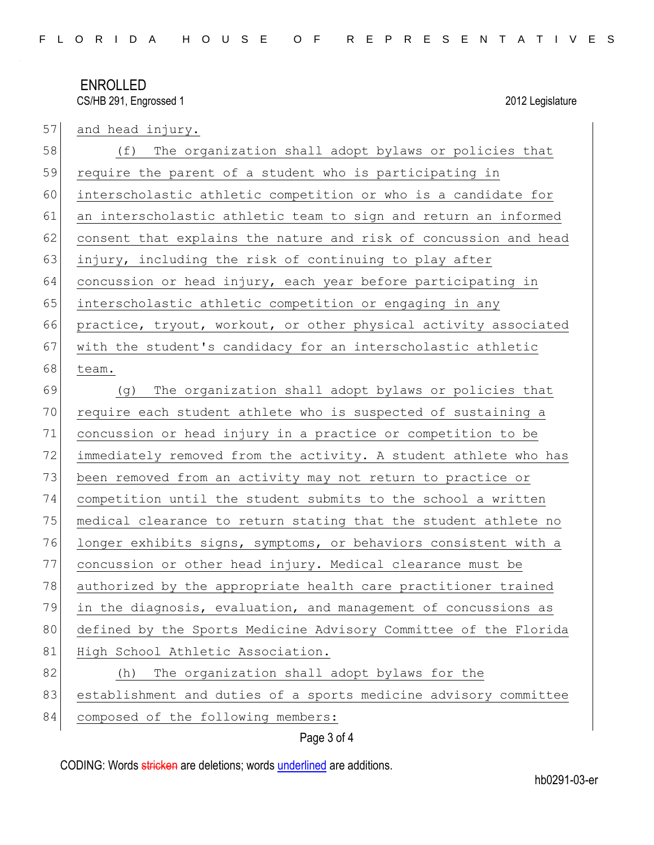## ENROLLED CS/HB 291, Engrossed 1 2012 Legislature

| 57 | and head injury.                                                 |
|----|------------------------------------------------------------------|
| 58 | The organization shall adopt bylaws or policies that<br>(f)      |
| 59 | require the parent of a student who is participating in          |
| 60 | interscholastic athletic competition or who is a candidate for   |
| 61 | an interscholastic athletic team to sign and return an informed  |
| 62 | consent that explains the nature and risk of concussion and head |
| 63 | injury, including the risk of continuing to play after           |
| 64 | concussion or head injury, each year before participating in     |
| 65 | interscholastic athletic competition or engaging in any          |
| 66 | practice, tryout, workout, or other physical activity associated |
| 67 | with the student's candidacy for an interscholastic athletic     |
| 68 | team.                                                            |
| 69 | The organization shall adopt bylaws or policies that<br>(q)      |
| 70 | require each student athlete who is suspected of sustaining a    |
| 71 | concussion or head injury in a practice or competition to be     |
| 72 | immediately removed from the activity. A student athlete who has |
| 73 | been removed from an activity may not return to practice or      |
| 74 | competition until the student submits to the school a written    |
| 75 | medical clearance to return stating that the student athlete no  |
| 76 | longer exhibits signs, symptoms, or behaviors consistent with a  |
| 77 | concussion or other head injury. Medical clearance must be       |
| 78 | authorized by the appropriate health care practitioner trained   |
| 79 | in the diagnosis, evaluation, and management of concussions as   |
| 80 | defined by the Sports Medicine Advisory Committee of the Florida |
| 81 | High School Athletic Association.                                |
| 82 | The organization shall adopt bylaws for the<br>(h)               |
| 83 | establishment and duties of a sports medicine advisory committee |
| 84 | composed of the following members:                               |
|    | Page 3 of 4                                                      |

CODING: Words stricken are deletions; words underlined are additions.